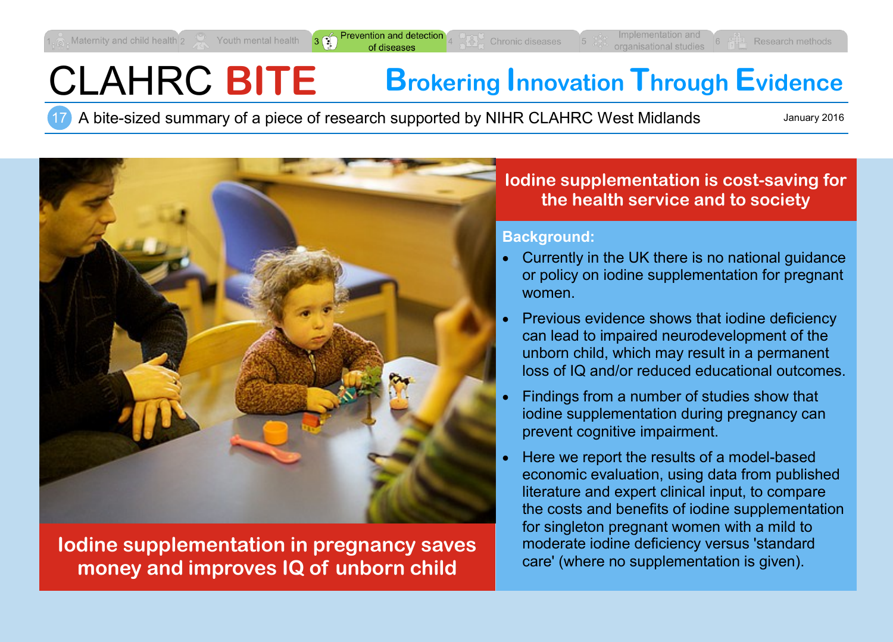revention and detectio of diseases

# CLAHRC **BITE Brokering Innovation Through Evidence**

17 A bite-sized summary of a piece of research supported by NIHR CLAHRC West Midlands

January 2016



**Iodine supplementation in pregnancy saves money and improves IQ of unborn child**

# **Iodine supplementation is cost-saving for the health service and to society**

#### **Background:**

- Currently in the UK there is no national guidance or policy on iodine supplementation for pregnant women.
- Previous evidence shows that iodine deficiency can lead to impaired neurodevelopment of the unborn child, which may result in a permanent loss of IQ and/or reduced educational outcomes.
- Findings from a number of studies show that iodine supplementation during pregnancy can prevent cognitive impairment.
- Here we report the results of a model-based economic evaluation, using data from published literature and expert clinical input, to compare the costs and benefits of iodine supplementation for singleton pregnant women with a mild to moderate iodine deficiency versus 'standard care' (where no supplementation is given).